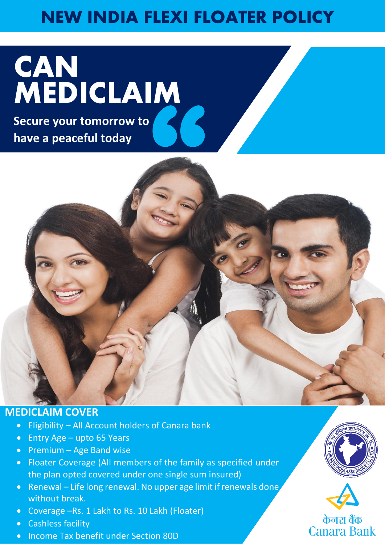# **NEW INDIA FLEXI FLOATER POLICY**

# **CAN MEDICLAIM**

**Secure your tomorrow to** 



# **MEDICLAIM COVER**

- Eligibility All Account holders of Canara bank
- Entry Age upto 65 Years
- $\bullet$  Premium Age Band wise
- Floater Coverage (All members of the family as specified under the plan opted covered under one single sum insured)
- Renewal Life long renewal. No upper age limit if renewals done, without break.
- Coverage –Rs. 1 Lakh to Rs. 10 Lakh (Floater)
- Cashless facility
- Income Tax benefit under Section 80D





केनरा बैंक **Canara Bank**